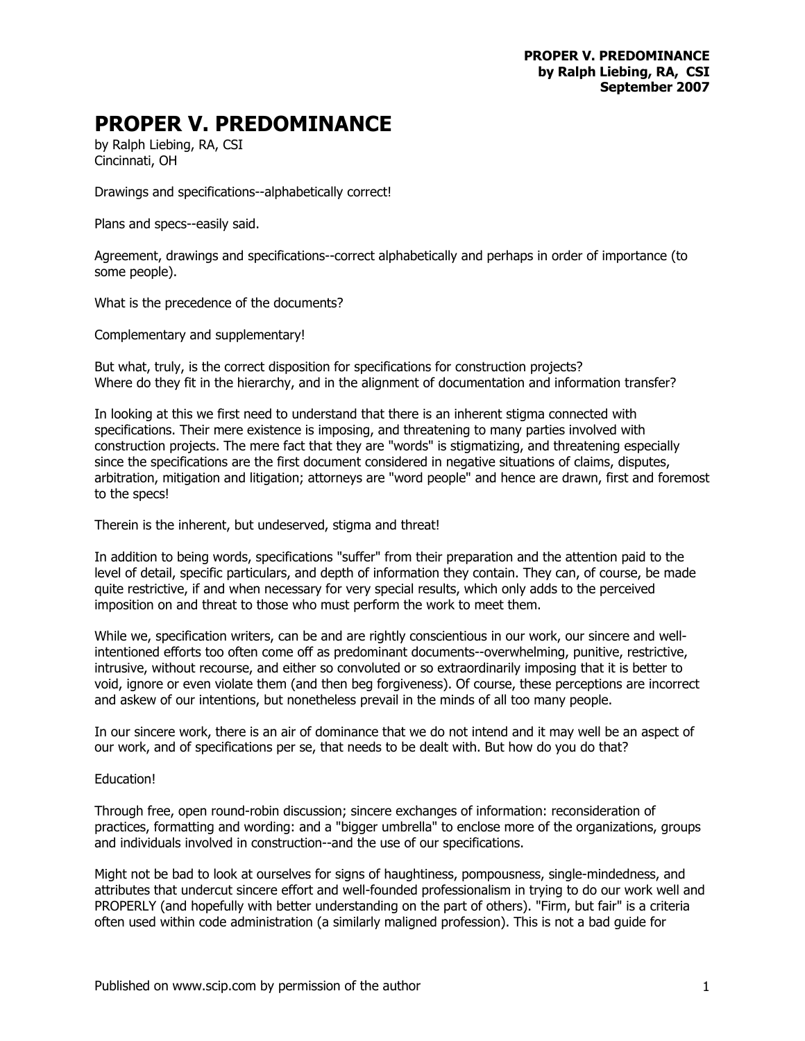## **PROPER V. PREDOMINANCE**

by Ralph Liebing, RA, CSI Cincinnati, OH

Drawings and specifications--alphabetically correct!

Plans and specs--easily said.

Agreement, drawings and specifications--correct alphabetically and perhaps in order of importance (to some people).

What is the precedence of the documents?

Complementary and supplementary!

But what, truly, is the correct disposition for specifications for construction projects? Where do they fit in the hierarchy, and in the alignment of documentation and information transfer?

In looking at this we first need to understand that there is an inherent stigma connected with specifications. Their mere existence is imposing, and threatening to many parties involved with construction projects. The mere fact that they are "words" is stigmatizing, and threatening especially since the specifications are the first document considered in negative situations of claims, disputes, arbitration, mitigation and litigation; attorneys are "word people" and hence are drawn, first and foremost to the specs!

Therein is the inherent, but undeserved, stigma and threat!

In addition to being words, specifications "suffer" from their preparation and the attention paid to the level of detail, specific particulars, and depth of information they contain. They can, of course, be made quite restrictive, if and when necessary for very special results, which only adds to the perceived imposition on and threat to those who must perform the work to meet them.

While we, specification writers, can be and are rightly conscientious in our work, our sincere and wellintentioned efforts too often come off as predominant documents--overwhelming, punitive, restrictive, intrusive, without recourse, and either so convoluted or so extraordinarily imposing that it is better to void, ignore or even violate them (and then beg forgiveness). Of course, these perceptions are incorrect and askew of our intentions, but nonetheless prevail in the minds of all too many people.

In our sincere work, there is an air of dominance that we do not intend and it may well be an aspect of our work, and of specifications per se, that needs to be dealt with. But how do you do that?

## Education!

Through free, open round-robin discussion; sincere exchanges of information: reconsideration of practices, formatting and wording: and a "bigger umbrella" to enclose more of the organizations, groups and individuals involved in construction--and the use of our specifications.

Might not be bad to look at ourselves for signs of haughtiness, pompousness, single-mindedness, and attributes that undercut sincere effort and well-founded professionalism in trying to do our work well and PROPERLY (and hopefully with better understanding on the part of others). "Firm, but fair" is a criteria often used within code administration (a similarly maligned profession). This is not a bad guide for